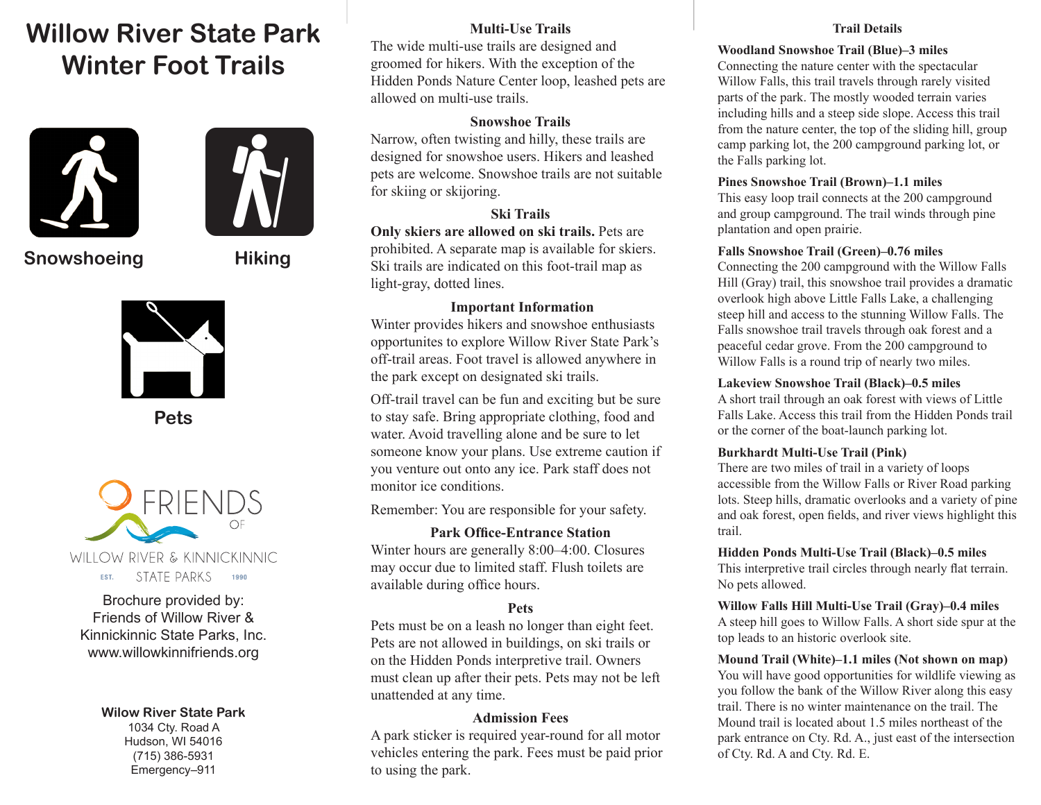# **Willow River State Park Winter Foot Trails**





## **Snowshoeing Hiking**



**Pets**



Brochure provided by: Friends of Willow River & Kinnickinnic State Parks, Inc. www.willowkinnifriends.org

> **Wilow River State Park** 1034 Cty. Road A Hudson, WI 54016 (715) 386-5931 Emergency–911

#### **Multi-Use Trails**

The wide multi-use trails are designed and groomed for hikers. With the exception of the Hidden Ponds Nature Center loop, leashed pets are allowed on multi-use trails.

#### **Snowshoe Trails**

Narrow, often twisting and hilly, these trails are designed for snowshoe users. Hikers and leashed pets are welcome. Snowshoe trails are not suitable for skiing or skijoring.

## **Ski Trails**

**Only skiers are allowed on ski trails.** Pets are prohibited. A separate map is available for skiers. Ski trails are indicated on this foot-trail map as light-gray, dotted lines.

## **Important Information**

Winter provides hikers and snowshoe enthusiasts opportunites to explore Willow River State Park's off-trail areas. Foot travel is allowed anywhere in the park except on designated ski trails.

Off-trail travel can be fun and exciting but be sure to stay safe. Bring appropriate clothing, food and water. Avoid travelling alone and be sure to let someone know your plans. Use extreme caution if you venture out onto any ice. Park staff does not monitor ice conditions.

Remember: You are responsible for your safety.

## **Park Office-Entrance Station**

Winter hours are generally 8:00–4:00. Closures may occur due to limited staff. Flush toilets are available during office hours.

## **Pets**

Pets must be on a leash no longer than eight feet. Pets are not allowed in buildings, on ski trails or on the Hidden Ponds interpretive trail. Owners must clean up after their pets. Pets may not be left unattended at any time.

#### **Admission Fees**

A park sticker is required year-round for all motor vehicles entering the park. Fees must be paid prior to using the park.

#### **Trail Details**

#### **Woodland Snowshoe Trail (Blue)–3 miles**

Connecting the nature center with the spectacular Willow Falls, this trail travels through rarely visited parts of the park. The mostly wooded terrain varies including hills and a steep side slope. Access this trail from the nature center, the top of the sliding hill, group camp parking lot, the 200 campground parking lot, or the Falls parking lot.

#### **Pines Snowshoe Trail (Brown)–1.1 miles**

This easy loop trail connects at the 200 campground and group campground. The trail winds through pine plantation and open prairie.

#### **Falls Snowshoe Trail (Green)–0.76 miles**

Connecting the 200 campground with the Willow Falls Hill (Gray) trail, this snowshoe trail provides a dramatic overlook high above Little Falls Lake, a challenging steep hill and access to the stunning Willow Falls. The Falls snowshoe trail travels through oak forest and a peaceful cedar grove. From the 200 campground to Willow Falls is a round trip of nearly two miles.

#### **Lakeview Snowshoe Trail (Black)–0.5 miles**

A short trail through an oak forest with views of Little Falls Lake. Access this trail from the Hidden Ponds trail or the corner of the boat-launch parking lot.

#### **Burkhardt Multi-Use Trail (Pink)**

There are two miles of trail in a variety of loops accessible from the Willow Falls or River Road parking lots. Steep hills, dramatic overlooks and a variety of pine and oak forest, open felds, and river views highlight this trail.

## **Hidden Ponds Multi-Use Trail (Black)–0.5 miles** This interpretive trail circles through nearly fat terrain.

No pets allowed.

## **Willow Falls Hill Multi-Use Trail (Gray)–0.4 miles**

A steep hill goes to Willow Falls. A short side spur at the top leads to an historic overlook site.

**Mound Trail (White)–1.1 miles (Not shown on map)** You will have good opportunities for wildlife viewing as you follow the bank of the Willow River along this easy trail. There is no winter maintenance on the trail. The Mound trail is located about 1.5 miles northeast of the park entrance on Cty. Rd. A., just east of the intersection of Cty. Rd. A and Cty. Rd. E.